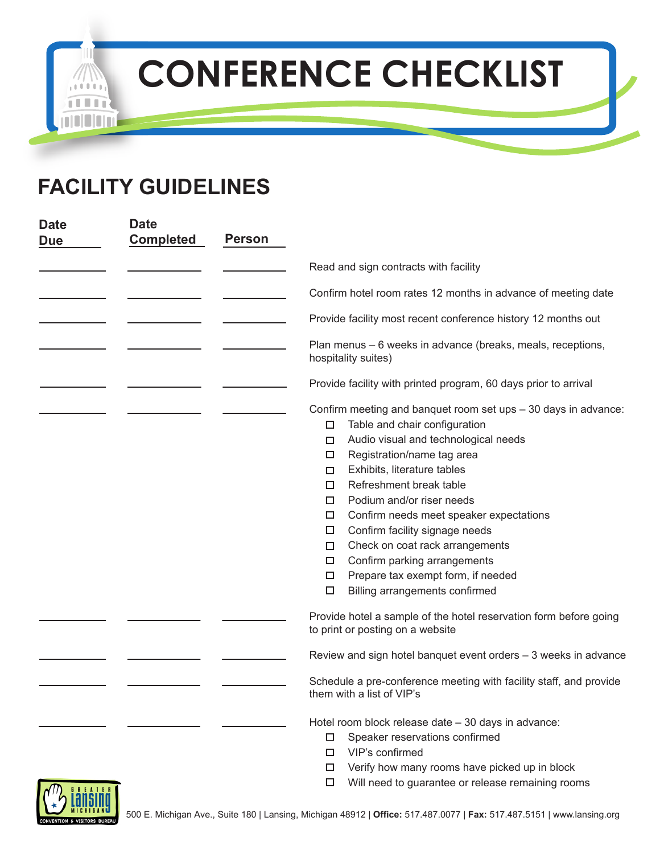## **CONFERENCE CHECKLIST**



٠

| <b>Date</b>                | <b>Date</b>      |               |                                                                                                                                                                                                                                                                                                                                                                                                                                                                                                                                                  |
|----------------------------|------------------|---------------|--------------------------------------------------------------------------------------------------------------------------------------------------------------------------------------------------------------------------------------------------------------------------------------------------------------------------------------------------------------------------------------------------------------------------------------------------------------------------------------------------------------------------------------------------|
| <b>Due</b>                 | <b>Completed</b> | <b>Person</b> |                                                                                                                                                                                                                                                                                                                                                                                                                                                                                                                                                  |
|                            |                  |               | Read and sign contracts with facility                                                                                                                                                                                                                                                                                                                                                                                                                                                                                                            |
|                            |                  |               | Confirm hotel room rates 12 months in advance of meeting date                                                                                                                                                                                                                                                                                                                                                                                                                                                                                    |
|                            |                  |               | Provide facility most recent conference history 12 months out                                                                                                                                                                                                                                                                                                                                                                                                                                                                                    |
|                            |                  |               | Plan menus - 6 weeks in advance (breaks, meals, receptions,<br>hospitality suites)                                                                                                                                                                                                                                                                                                                                                                                                                                                               |
|                            |                  |               | Provide facility with printed program, 60 days prior to arrival                                                                                                                                                                                                                                                                                                                                                                                                                                                                                  |
|                            |                  |               | Confirm meeting and banquet room set ups - 30 days in advance:<br>Table and chair configuration<br>□<br>Audio visual and technological needs<br>□<br>Registration/name tag area<br>□<br>Exhibits, literature tables<br>□<br>Refreshment break table<br>□<br>Podium and/or riser needs<br>□<br>Confirm needs meet speaker expectations<br>□<br>Confirm facility signage needs<br>□<br>Check on coat rack arrangements<br>□<br>Confirm parking arrangements<br>□<br>Prepare tax exempt form, if needed<br>□<br>Billing arrangements confirmed<br>□ |
|                            |                  |               | Provide hotel a sample of the hotel reservation form before going<br>to print or posting on a website                                                                                                                                                                                                                                                                                                                                                                                                                                            |
|                            |                  |               | Review and sign hotel banquet event orders - 3 weeks in advance                                                                                                                                                                                                                                                                                                                                                                                                                                                                                  |
|                            |                  |               | Schedule a pre-conference meeting with facility staff, and provide<br>them with a list of VIP's                                                                                                                                                                                                                                                                                                                                                                                                                                                  |
|                            |                  |               | Hotel room block release date - 30 days in advance:<br>Speaker reservations confirmed<br>0.<br>VIP's confirmed<br>□<br>Verify how many rooms have picked up in block<br>0                                                                                                                                                                                                                                                                                                                                                                        |
| $\mathcal{D}$ $\mathbb{R}$ |                  |               | Will need to guarantee or release remaining rooms<br>□.                                                                                                                                                                                                                                                                                                                                                                                                                                                                                          |